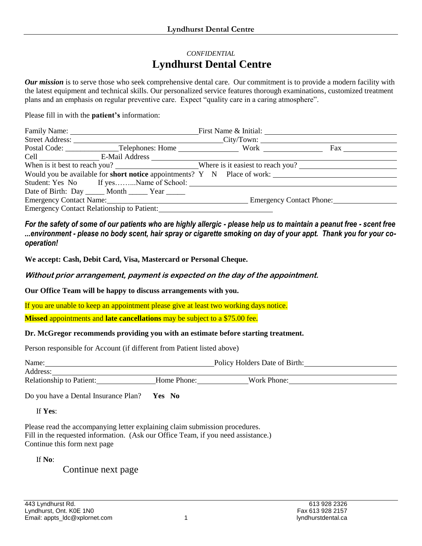## *CONFIDENTIAL* **Lyndhurst Dental Centre**

*Our mission* is to serve those who seek comprehensive dental care. Our commitment is to provide a modern facility with the latest equipment and technical skills. Our personalized service features thorough examinations, customized treatment plans and an emphasis on regular preventive care. Expect "quality care in a caring atmosphere".

Please fill in with the **patient's** information:

| Family Name:                                                             |  | First Name & Initial:    |
|--------------------------------------------------------------------------|--|--------------------------|
| Street Address: City/Town:                                               |  |                          |
|                                                                          |  | Fax                      |
| Cell E-Mail Address                                                      |  |                          |
|                                                                          |  |                          |
| Would you be available for short notice appointments? Y N Place of work: |  |                          |
| Student: Yes No If yesName of School:                                    |  |                          |
| Date of Birth: Day ______ Month _______ Year ______                      |  |                          |
| Emergency Contact Name: 1986                                             |  | Emergency Contact Phone: |
| Emergency Contact Relationship to Patient:                               |  |                          |

*For the safety of some of our patients who are highly allergic - please help us to maintain a peanut free - scent free ...environment - please no body scent, hair spray or cigarette smoking on day of your appt. Thank you for your cooperation!*

**We accept: Cash, Debit Card, Visa, Mastercard or Personal Cheque.**

**Without prior arrangement, payment is expected on the day of the appointment.**

**Our Office Team will be happy to discuss arrangements with you.** 

If you are unable to keep an appointment please give at least two working days notice.

**Missed** appointments and **late cancellations** may be subject to a \$75.00 fee.

## **Dr. McGregor recommends providing you with an estimate before starting treatment.**

Person responsible for Account (if different from Patient listed above)

| Name:                           |             | Policy Holders Date of Birth: |  |
|---------------------------------|-------------|-------------------------------|--|
| Address:                        |             |                               |  |
| <b>Relationship to Patient:</b> | Home Phone: | Work Phone:                   |  |

Do you have a Dental Insurance Plan? **Yes No**

If **Yes**:

Please read the accompanying letter explaining claim submission procedures. Fill in the requested information. (Ask our Office Team, if you need assistance.) Continue this form next page

If **No**:

Continue next page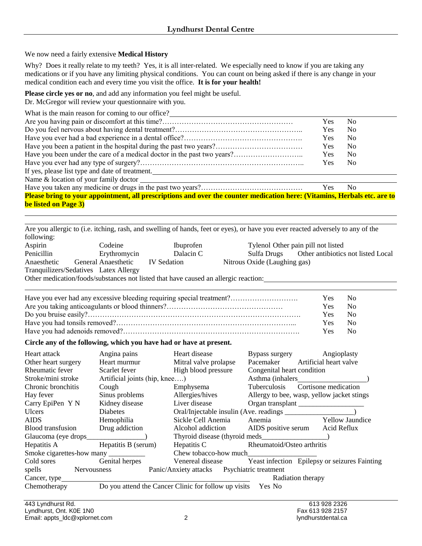We now need a fairly extensive **Medical History**

Why? Does it really relate to my teeth? Yes, it is all inter-related. We especially need to know if you are taking any medications or if you have any limiting physical conditions. You can count on being asked if there is any change in your medical condition each and every time you visit the office. **It is for your health!**

**Please circle yes or no**, and add any information you feel might be useful. Dr. McGregor will review your questionnaire with you.

| What is the main reason for coming to our office?                                                                        |            |                |
|--------------------------------------------------------------------------------------------------------------------------|------------|----------------|
|                                                                                                                          | Yes        | No.            |
|                                                                                                                          | Yes        | N <sub>0</sub> |
|                                                                                                                          | <b>Yes</b> | N <sub>0</sub> |
|                                                                                                                          | <b>Yes</b> | N <sub>0</sub> |
|                                                                                                                          | <b>Yes</b> | N <sub>0</sub> |
|                                                                                                                          | Yes        | No.            |
| If yes, please list type and date of treatment.                                                                          |            |                |
| Name & location of your family doctor                                                                                    |            |                |
|                                                                                                                          | Yes        | No.            |
| Please bring to your appointment, all prescriptions and over the counter medication here: (Vitamins, Herbals etc. are to |            |                |
| be listed on Page 3)                                                                                                     |            |                |

Are you allergic to (i.e. itching, rash, and swelling of hands, feet or eyes), or have you ever reacted adversely to any of the following: Aspirin Codeine Ibuprofen Tylenol Other pain pill not listed Penicillin Erythromycin Dalacin C Sulfa Drugs Other antibiotics not listed Local Anaesthetic General Anaesthetic IV Sedation Nitrous Oxide (Laughing gas) Tranquilizers/Sedatives Latex Allergy

Other medication/foods/substances not listed that have caused an allergic reaction:

| Have you ever had any excessive bleeding requiring special treatment? | Yes No     |              |
|-----------------------------------------------------------------------|------------|--------------|
|                                                                       | <b>Yes</b> | $N_{\Omega}$ |
|                                                                       | Yes.       | $N_{\Omega}$ |
|                                                                       | Yes.       | $N_{\Omega}$ |
|                                                                       | <b>Yes</b> | $N_{\Omega}$ |

## **Circle any of the following, which you have had or have at present.**

| Heart attack                    | Angina pains                  | Heart disease                                               | Angioplasty<br>Bypass surgery                                  |
|---------------------------------|-------------------------------|-------------------------------------------------------------|----------------------------------------------------------------|
| Other heart surgery             | Heart murmur                  | Mitral valve prolapse                                       | Artificial heart valve<br>Pacemaker                            |
| Rheumatic fever                 | Scarlet fever                 | High blood pressure                                         | Congenital heart condition                                     |
| Stroke/mini stroke              | Artificial joints (hip, knee) |                                                             | Asthma (inhalers                                               |
| Chronic bronchitis              | Cough                         | Emphysema                                                   | <b>Tuberculosis</b><br>Cortisone medication                    |
| Hay fever                       | Sinus problems                | Allergies/hives                                             | Allergy to bee, wasp, yellow jacket stings                     |
| Carry EpiPen Y N                | Kidney disease                | Liver disease                                               | Organ transplant                                               |
| <b>Ulcers</b>                   | Diabetes                      |                                                             |                                                                |
| <b>AIDS</b>                     | Hemophilia                    | Sickle Cell Anemia                                          | Anemia<br><b>Yellow Jaundice</b>                               |
| <b>Blood transfusion</b>        | Drug addiction                | Alcohol addiction                                           | Acid Reflux<br>AIDS positive serum                             |
|                                 |                               |                                                             |                                                                |
| Hepatitis A Hepatitis B (serum) |                               | Hepatitis C                                                 | Rheumatoid/Osteo arthritis                                     |
| Smoke cigarettes-how many       |                               | Chew tobacco-how much                                       |                                                                |
| Cold sores Genital herpes       |                               |                                                             | Venereal disease Yeast infection Epilepsy or seizures Fainting |
| spells Nervousness              |                               | Panic/Anxiety attacks Psychiatric treatment                 |                                                                |
|                                 |                               |                                                             | Radiation therapy                                              |
| Chemotherapy                    |                               | Do you attend the Cancer Clinic for follow up visits Yes No |                                                                |

j.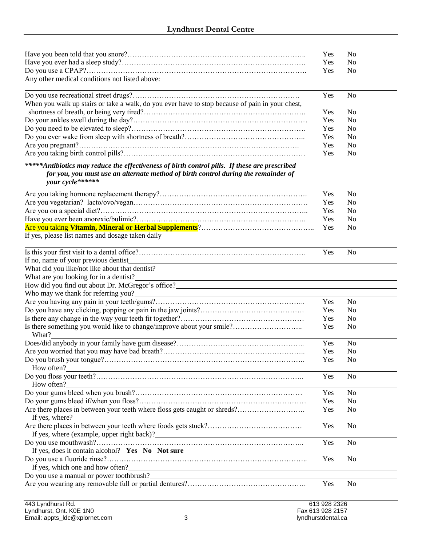| Any other medical conditions not listed above: | Yes<br><b>Yes</b><br>Yes. | No<br>N <sub>0</sub><br>N <sub>0</sub> |  |
|------------------------------------------------|---------------------------|----------------------------------------|--|
|                                                | Yes                       | No                                     |  |

|                                                                                                 |            | .              |
|-------------------------------------------------------------------------------------------------|------------|----------------|
| When you walk up stairs or take a walk, do you ever have to stop because of pain in your chest, |            |                |
|                                                                                                 | <b>Yes</b> | N <sub>0</sub> |
|                                                                                                 | Yes.       | N <sub>0</sub> |
|                                                                                                 | <b>Yes</b> | N <sub>0</sub> |
|                                                                                                 | <b>Yes</b> | No.            |
|                                                                                                 | Yes.       | N <sub>0</sub> |
|                                                                                                 | Yes        | No.            |
|                                                                                                 |            |                |

## *\*\*\*\*\*Antibiotics may reduce the effectiveness of birth control pills. If these are prescribed for you, you must use an alternate method of birth control during the remainder of your cycle\*\*\*\*\*\**

|                                                  | Yes        | N <sub>0</sub> |
|--------------------------------------------------|------------|----------------|
|                                                  | Yes.       | - No           |
|                                                  | Yes.       | - No           |
|                                                  | <b>Yes</b> | - No           |
|                                                  |            | $N_{\Omega}$   |
| If yes, please list names and dosage taken daily |            |                |

|                                                                                                                                                                                                                                        | Yes | N <sub>o</sub> |
|----------------------------------------------------------------------------------------------------------------------------------------------------------------------------------------------------------------------------------------|-----|----------------|
|                                                                                                                                                                                                                                        |     |                |
|                                                                                                                                                                                                                                        |     |                |
| What are you looking for in a dentist?<br><u> 1989 - Johann Barn, mars ar breithinn ar chuid ann an t-Alban ann an t-Alban ann an t-Alban ann an t-Alban a</u>                                                                         |     |                |
|                                                                                                                                                                                                                                        |     |                |
|                                                                                                                                                                                                                                        |     |                |
|                                                                                                                                                                                                                                        | Yes | N <sub>0</sub> |
|                                                                                                                                                                                                                                        | Yes | N <sub>0</sub> |
|                                                                                                                                                                                                                                        | Yes | N <sub>0</sub> |
| Is there something you would like to change/improve about your smile?<br>What?                                                                                                                                                         | Yes | N <sub>0</sub> |
|                                                                                                                                                                                                                                        | Yes | N <sub>o</sub> |
|                                                                                                                                                                                                                                        | Yes | N <sub>0</sub> |
|                                                                                                                                                                                                                                        | Yes | N <sub>0</sub> |
| How often?                                                                                                                                                                                                                             |     |                |
|                                                                                                                                                                                                                                        | Yes | N <sub>o</sub> |
|                                                                                                                                                                                                                                        |     |                |
|                                                                                                                                                                                                                                        | Yes | N <sub>o</sub> |
|                                                                                                                                                                                                                                        | Yes | N <sub>0</sub> |
|                                                                                                                                                                                                                                        | Yes | N <sub>0</sub> |
|                                                                                                                                                                                                                                        |     |                |
|                                                                                                                                                                                                                                        | Yes | N <sub>0</sub> |
| If yes, where (example, upper right back)?<br><u>Letting and the contract of the set of the set of the set of the set of the set of the set of the set of the set of the set of the set of the set of the set of the set of the se</u> |     |                |
|                                                                                                                                                                                                                                        | Yes | N <sub>0</sub> |
| If yes, does it contain alcohol? Yes No Not sure                                                                                                                                                                                       |     |                |
|                                                                                                                                                                                                                                        | Yes | N <sub>0</sub> |
| If yes, which one and how often?                                                                                                                                                                                                       |     |                |
| Do you use a manual or power toothbrush?<br><u>Letter and the substantial original</u> control of the substantial control of the substantial control of the substantial control of the substantial control of the substantial control  |     |                |
|                                                                                                                                                                                                                                        | Yes | N <sub>o</sub> |

j.